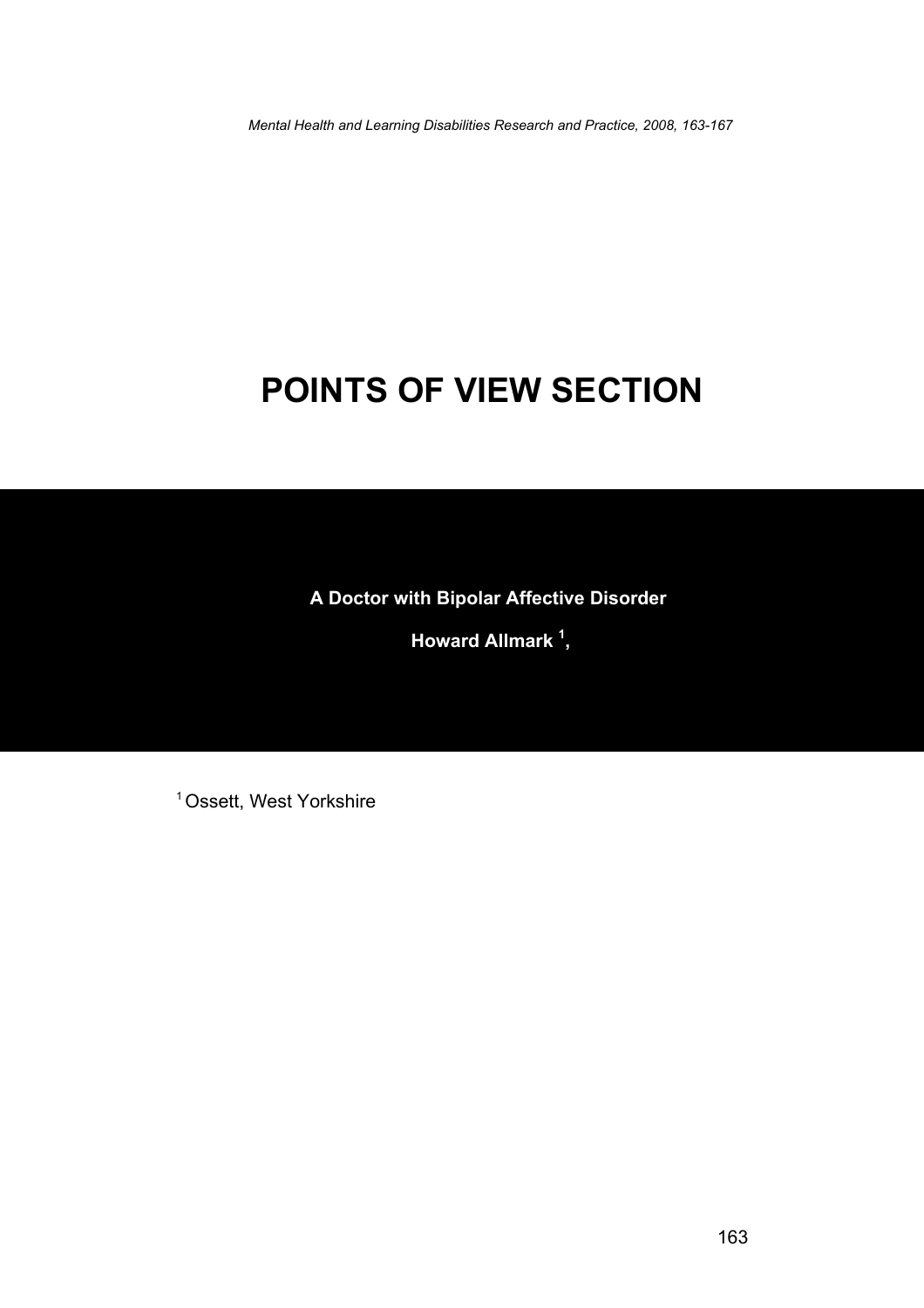*Mental Health and Learning Disabilities Research and Practice, 2008, 163-167* 

## **POINTS OF VIEW SECTION**

**A Doctor with Bipolar Affective Disorder** 

 **Howard Allmark 1 ,** 

<sup>1</sup> Ossett, West Yorkshire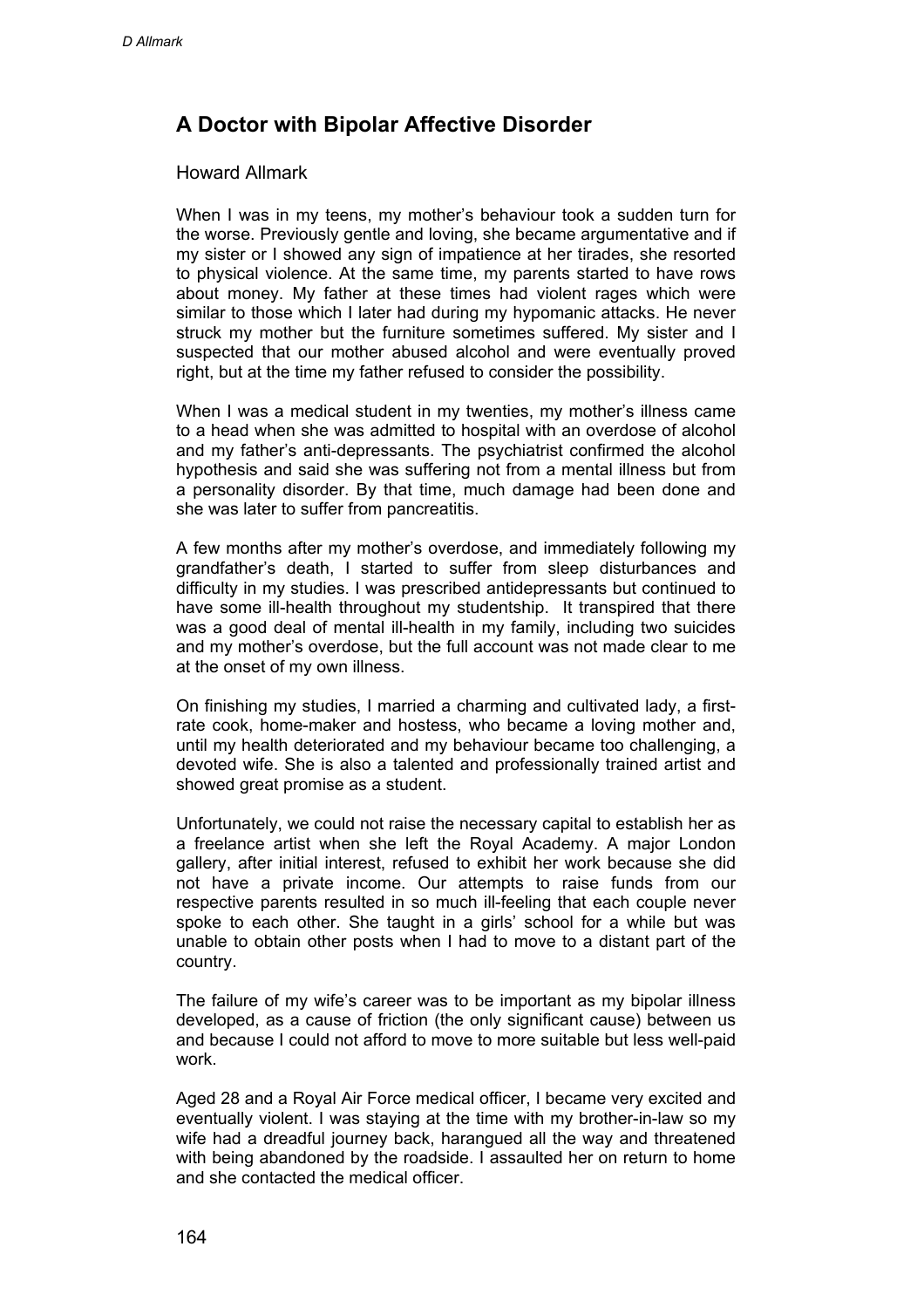## **A Doctor with Bipolar Affective Disorder**

## Howard Allmark

When I was in my teens, my mother's behaviour took a sudden turn for the worse. Previously gentle and loving, she became argumentative and if my sister or I showed any sign of impatience at her tirades, she resorted to physical violence. At the same time, my parents started to have rows about money. My father at these times had violent rages which were similar to those which I later had during my hypomanic attacks. He never struck my mother but the furniture sometimes suffered. My sister and I suspected that our mother abused alcohol and were eventually proved right, but at the time my father refused to consider the possibility.

When I was a medical student in my twenties, my mother's illness came to a head when she was admitted to hospital with an overdose of alcohol and my father's anti-depressants. The psychiatrist confirmed the alcohol hypothesis and said she was suffering not from a mental illness but from a personality disorder. By that time, much damage had been done and she was later to suffer from pancreatitis.

A few months after my mother's overdose, and immediately following my grandfather's death, I started to suffer from sleep disturbances and difficulty in my studies. I was prescribed antidepressants but continued to have some ill-health throughout my studentship. It transpired that there was a good deal of mental ill-health in my family, including two suicides and my mother's overdose, but the full account was not made clear to me at the onset of my own illness.

On finishing my studies, I married a charming and cultivated lady, a firstrate cook, home-maker and hostess, who became a loving mother and, until my health deteriorated and my behaviour became too challenging, a devoted wife. She is also a talented and professionally trained artist and showed great promise as a student.

Unfortunately, we could not raise the necessary capital to establish her as a freelance artist when she left the Royal Academy. A major London gallery, after initial interest, refused to exhibit her work because she did not have a private income. Our attempts to raise funds from our respective parents resulted in so much ill-feeling that each couple never spoke to each other. She taught in a girls' school for a while but was unable to obtain other posts when I had to move to a distant part of the country.

The failure of my wife's career was to be important as my bipolar illness developed, as a cause of friction (the only significant cause) between us and because I could not afford to move to more suitable but less well-paid work.

Aged 28 and a Royal Air Force medical officer, I became very excited and eventually violent. I was staying at the time with my brother-in-law so my wife had a dreadful journey back, harangued all the way and threatened with being abandoned by the roadside. I assaulted her on return to home and she contacted the medical officer.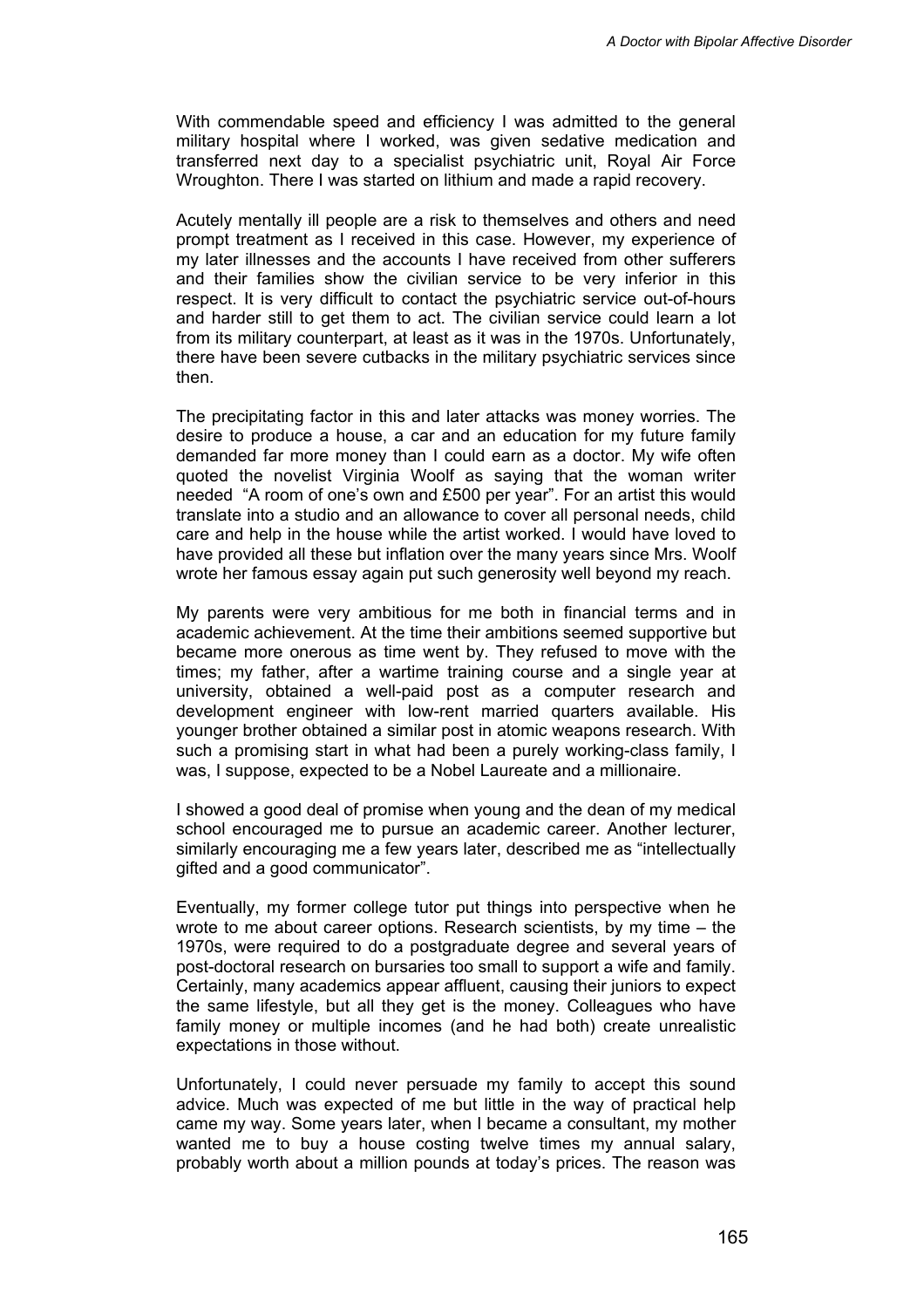With commendable speed and efficiency I was admitted to the general military hospital where I worked, was given sedative medication and transferred next day to a specialist psychiatric unit, Royal Air Force Wroughton. There I was started on lithium and made a rapid recovery.

Acutely mentally ill people are a risk to themselves and others and need prompt treatment as I received in this case. However, my experience of my later illnesses and the accounts I have received from other sufferers and their families show the civilian service to be very inferior in this respect. It is very difficult to contact the psychiatric service out-of-hours and harder still to get them to act. The civilian service could learn a lot from its military counterpart, at least as it was in the 1970s. Unfortunately, there have been severe cutbacks in the military psychiatric services since then.

The precipitating factor in this and later attacks was money worries. The desire to produce a house, a car and an education for my future family demanded far more money than I could earn as a doctor. My wife often quoted the novelist Virginia Woolf as saying that the woman writer needed "A room of one's own and £500 per year". For an artist this would translate into a studio and an allowance to cover all personal needs, child care and help in the house while the artist worked. I would have loved to have provided all these but inflation over the many years since Mrs. Woolf wrote her famous essay again put such generosity well beyond my reach.

My parents were very ambitious for me both in financial terms and in academic achievement. At the time their ambitions seemed supportive but became more onerous as time went by. They refused to move with the times; my father, after a wartime training course and a single year at university, obtained a well-paid post as a computer research and development engineer with low-rent married quarters available. His younger brother obtained a similar post in atomic weapons research. With such a promising start in what had been a purely working-class family, I was, I suppose, expected to be a Nobel Laureate and a millionaire.

I showed a good deal of promise when young and the dean of my medical school encouraged me to pursue an academic career. Another lecturer, similarly encouraging me a few years later, described me as "intellectually gifted and a good communicator".

Eventually, my former college tutor put things into perspective when he wrote to me about career options. Research scientists, by my time – the 1970s, were required to do a postgraduate degree and several years of post-doctoral research on bursaries too small to support a wife and family. Certainly, many academics appear affluent, causing their juniors to expect the same lifestyle, but all they get is the money. Colleagues who have family money or multiple incomes (and he had both) create unrealistic expectations in those without.

Unfortunately, I could never persuade my family to accept this sound advice. Much was expected of me but little in the way of practical help came my way. Some years later, when I became a consultant, my mother wanted me to buy a house costing twelve times my annual salary, probably worth about a million pounds at today's prices. The reason was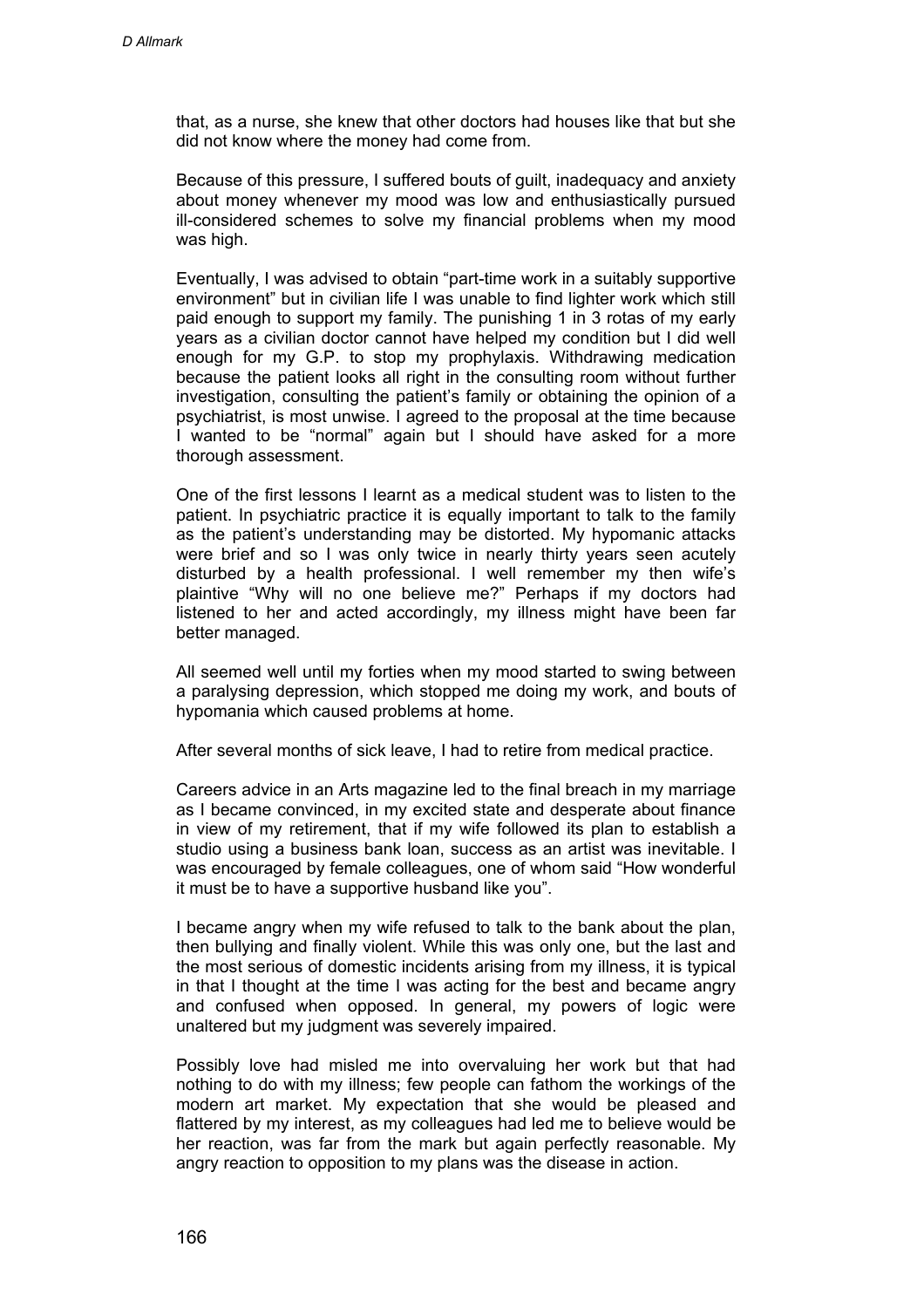that, as a nurse, she knew that other doctors had houses like that but she did not know where the money had come from.

Because of this pressure, I suffered bouts of guilt, inadequacy and anxiety about money whenever my mood was low and enthusiastically pursued ill-considered schemes to solve my financial problems when my mood was high.

Eventually, I was advised to obtain "part-time work in a suitably supportive environment" but in civilian life I was unable to find lighter work which still paid enough to support my family. The punishing 1 in 3 rotas of my early years as a civilian doctor cannot have helped my condition but I did well enough for my G.P. to stop my prophylaxis. Withdrawing medication because the patient looks all right in the consulting room without further investigation, consulting the patient's family or obtaining the opinion of a psychiatrist, is most unwise. I agreed to the proposal at the time because I wanted to be "normal" again but I should have asked for a more thorough assessment.

One of the first lessons I learnt as a medical student was to listen to the patient. In psychiatric practice it is equally important to talk to the family as the patient's understanding may be distorted. My hypomanic attacks were brief and so I was only twice in nearly thirty years seen acutely disturbed by a health professional. I well remember my then wife's plaintive "Why will no one believe me?" Perhaps if my doctors had listened to her and acted accordingly, my illness might have been far better managed.

All seemed well until my forties when my mood started to swing between a paralysing depression, which stopped me doing my work, and bouts of hypomania which caused problems at home.

After several months of sick leave, I had to retire from medical practice.

Careers advice in an Arts magazine led to the final breach in my marriage as I became convinced, in my excited state and desperate about finance in view of my retirement, that if my wife followed its plan to establish a studio using a business bank loan, success as an artist was inevitable. I was encouraged by female colleagues, one of whom said "How wonderful it must be to have a supportive husband like you".

I became angry when my wife refused to talk to the bank about the plan, then bullying and finally violent. While this was only one, but the last and the most serious of domestic incidents arising from my illness, it is typical in that I thought at the time I was acting for the best and became angry and confused when opposed. In general, my powers of logic were unaltered but my judgment was severely impaired.

Possibly love had misled me into overvaluing her work but that had nothing to do with my illness; few people can fathom the workings of the modern art market. My expectation that she would be pleased and flattered by my interest, as my colleagues had led me to believe would be her reaction, was far from the mark but again perfectly reasonable. My angry reaction to opposition to my plans was the disease in action.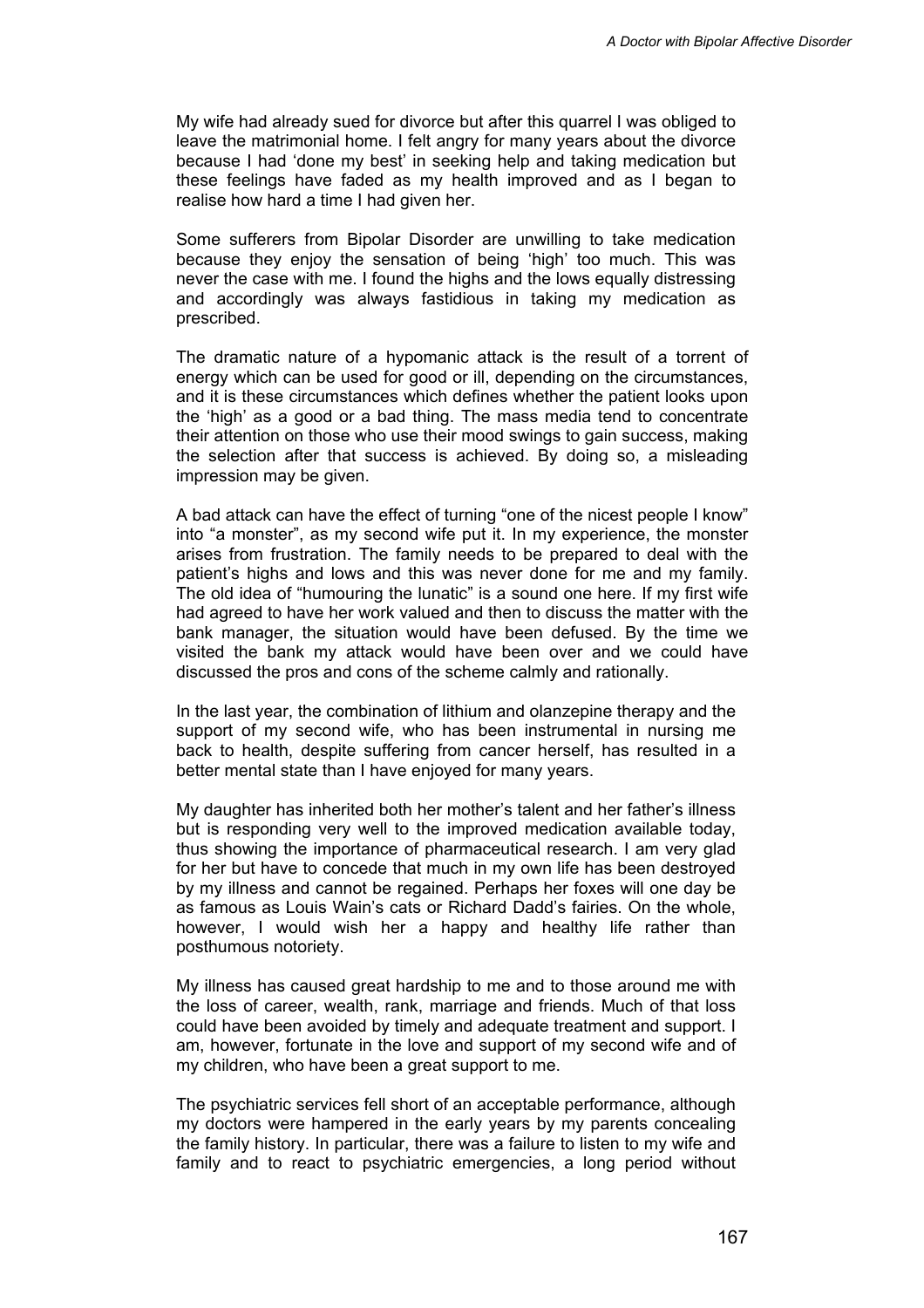My wife had already sued for divorce but after this quarrel I was obliged to leave the matrimonial home. I felt angry for many years about the divorce because I had 'done my best' in seeking help and taking medication but these feelings have faded as my health improved and as I began to realise how hard a time I had given her.

Some sufferers from Bipolar Disorder are unwilling to take medication because they enjoy the sensation of being 'high' too much. This was never the case with me. I found the highs and the lows equally distressing and accordingly was always fastidious in taking my medication as prescribed.

The dramatic nature of a hypomanic attack is the result of a torrent of energy which can be used for good or ill, depending on the circumstances, and it is these circumstances which defines whether the patient looks upon the 'high' as a good or a bad thing. The mass media tend to concentrate their attention on those who use their mood swings to gain success, making the selection after that success is achieved. By doing so, a misleading impression may be given.

A bad attack can have the effect of turning "one of the nicest people I know" into "a monster", as my second wife put it. In my experience, the monster arises from frustration. The family needs to be prepared to deal with the patient's highs and lows and this was never done for me and my family. The old idea of "humouring the lunatic" is a sound one here. If my first wife had agreed to have her work valued and then to discuss the matter with the bank manager, the situation would have been defused. By the time we visited the bank my attack would have been over and we could have discussed the pros and cons of the scheme calmly and rationally.

In the last year, the combination of lithium and olanzepine therapy and the support of my second wife, who has been instrumental in nursing me back to health, despite suffering from cancer herself, has resulted in a better mental state than I have enjoyed for many years.

My daughter has inherited both her mother's talent and her father's illness but is responding very well to the improved medication available today, thus showing the importance of pharmaceutical research. I am very glad for her but have to concede that much in my own life has been destroyed by my illness and cannot be regained. Perhaps her foxes will one day be as famous as Louis Wain's cats or Richard Dadd's fairies. On the whole, however, I would wish her a happy and healthy life rather than posthumous notoriety.

My illness has caused great hardship to me and to those around me with the loss of career, wealth, rank, marriage and friends. Much of that loss could have been avoided by timely and adequate treatment and support. I am, however, fortunate in the love and support of my second wife and of my children, who have been a great support to me.

The psychiatric services fell short of an acceptable performance, although my doctors were hampered in the early years by my parents concealing the family history. In particular, there was a failure to listen to my wife and family and to react to psychiatric emergencies, a long period without